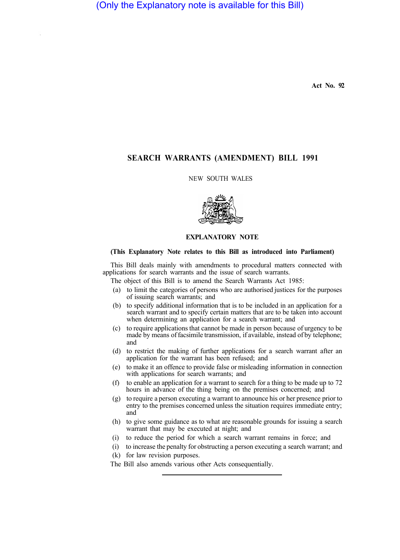**Act No. 92** 

# **SEARCH WARRANTS (AMENDMENT) BILL 1991**

# NEW SOUTH WALES



### **EXPLANATORY NOTE**

## **(This Explanatory Note relates to this Bill as introduced into Parliament)**

This Bill deals mainly with amendments to procedural matters connected with applications for search warrants and the issue of search warrants.

The object of this Bill is to amend the Search Warrants Act 1985:

- (a) to limit the categories of persons who are authorised justices for the purposes of issuing search warrants; and
- (b) to specify additional information that is to be included in an application for a search warrant and to specify certain matters that are to be taken into account when determining an application for a search warrant; and
- (c) to require applications that cannot be made in person because of urgency to be made by means of facsimile transmission, if available, instead of by telephone; and
- (d) to restrict the making of further applications for a search warrant after an application for the warrant has been refused; and
- (e) to make it an offence to provide false or misleading information in connection with applications for search warrants; and
- (f) to enable an application for a warrant to search for a thing to be made up to 72 hours in advance of the thing being on the premises concerned; and
- (g) to require a person executing a warrant to announce his or her presence prior to entry to the premises concerned unless the situation requires immediate entry; and
- (h) to give some guidance as to what are reasonable grounds for issuing a search warrant that may be executed at night; and
- (i) to reduce the period for which a search warrant remains in force; and
- (i) to increase the penalty for obstructing a person executing a search warrant; and (k) for law revision purposes.
- The Bill also amends various other Acts consequentially.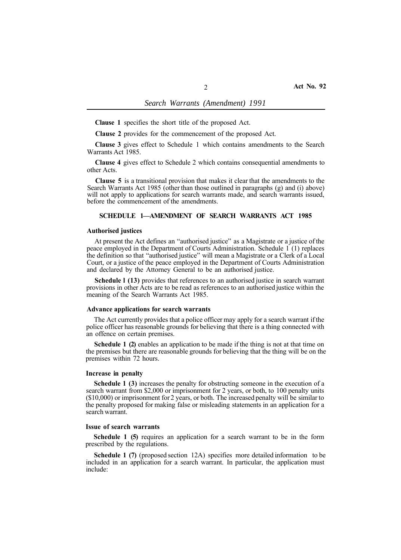**Clause 1** specifies the short title of the proposed Act.

**Clause 2** provides for the commencement of the proposed Act.

**Clause 3** gives effect to Schedule 1 which contains amendments to the Search Warrants Act 1985.

**Clause 4** gives effect to Schedule 2 which contains consequential amendments to other Acts.

**Clause 5** is a transitional provision that makes it clear that the amendments to the Search Warrants Act 1985 (other than those outlined in paragraphs (g) and (i) above) will not apply to applications for search warrants made, and search warrants issued, before the commencement of the amendments.

# **SCHEDULE 1—AMENDMENT OF SEARCH WARRANTS ACT 1985**

#### **Authorised justices**

At present the Act defines an "authorised justice" as a Magistrate or a justice of the peace employed in the Department of Courts Administration. Schedule 1 (1) replaces the definition so that "authorised justice" will mean a Magistrate or a Clerk of a Local Court, or a justice of the peace employed in the Department of Courts Administration and declared by the Attorney General to be an authorised justice.

**Schedule l (13)** provides that references to an authorised justice in search warrant provisions in other Acts are to be read as references to an authorised justice within the meaning of the Search Warrants Act 1985.

#### **Advance applications for search warrants**

The Act currently provides that a police officer may apply for a search warrant if the police officer has reasonable grounds for believing that there is a thing connected with an offence on certain premises.

**Schedule 1 (2)** enables an application to be made if the thing is not at that time on the premises but there are reasonable grounds for believing that the thing will be on the premises within 72 hours.

#### **Increase in penalty**

**Schedule 1 (3)** increases the penalty for obstructing someone in the execution of a search warrant from \$2,000 or imprisonment for 2 years, or both, to 100 penalty units (\$10,000) or imprisonment for 2 years, or both. The increased penalty will be similar to the penalty proposed for making false or misleading statements in an application for a search warrant.

#### **Issue of search warrants**

**Schedule 1 (5)** requires an application for a search warrant to be in the form prescribed by the regulations.

**Schedule 1 (7)** (proposed section 12A) specifies more detailed information to be included in an application for a search warrant. In particular, the application must include: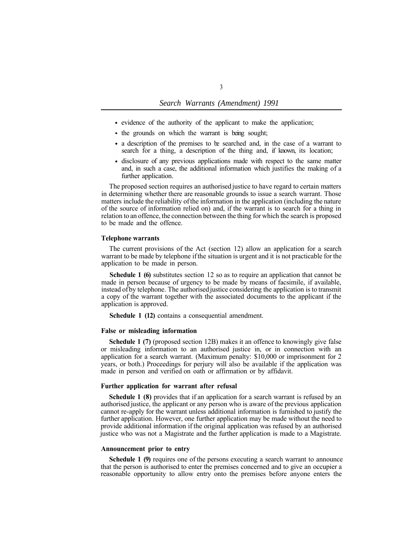- evidence of the authority of the applicant to make the application;
- the grounds on which the warrant is being sought;
- a description of the premises to be searched and, in the case of a warrant to search for a thing, a description of the thing and, if known its location;
- disclosure of any previous applications made with respect to the same matter and, in such a case, the additional information which justifies the making of a further application.

The proposed section requires an authorised justice to have regard to certain matters in determining whether there are reasonable grounds to issue a search warrant. Those matters include the reliability of the information in the application (including the nature of the source of information relied on) and, if the warrant is to search for a thing in relation to an offence, the connection between the thing for which the search is proposed to be made and the offence.

#### **Telephone warrants**

The current provisions of the Act (section 12) allow an application for a search warrant to be made by telephone if the situation is urgent and it is not practicable for the application to be made in person.

**Schedule 1 (6)** substitutes section 12 so as to require an application that cannot be made in person because of urgency to be made by means of facsimile, if available, instead of by telephone. The authorised justice considering the application is to transmit a copy of the warrant together with the associated documents to the applicant if the application is approved.

**Schedule 1 (12)** contains a consequential amendment.

### **False or misleading information**

**Schedule 1 (7)** (proposed section 12B) makes it an offence to knowingly give false or misleading information to an authorised justice in, or in connection with an application for a search warrant. (Maximum penalty: \$10,000 or imprisonment for 2 years, or both.) Proceedings for perjury will also be available if the application was made in person and verified on oath or affirmation or by affidavit.

#### **Further application for warrant after refusal**

**Schedule 1 (8)** provides that if an application for a search warrant is refused by an authorised justice, the applicant or any person who is aware of the previous application cannot re-apply for the warrant unless additional information is furnished to justify the further application. However, one further application may be made without the need to provide additional information if the original application was refused by an authorised justice who was not a Magistrate and the further application is made to a Magistrate.

# **Announcement prior to entry**

**Schedule 1 (9)** requires one of the persons executing a search warrant to announce that the person is authorised to enter the premises concerned and to give an occupier a reasonable opportunity to allow entry onto the premises before anyone enters the